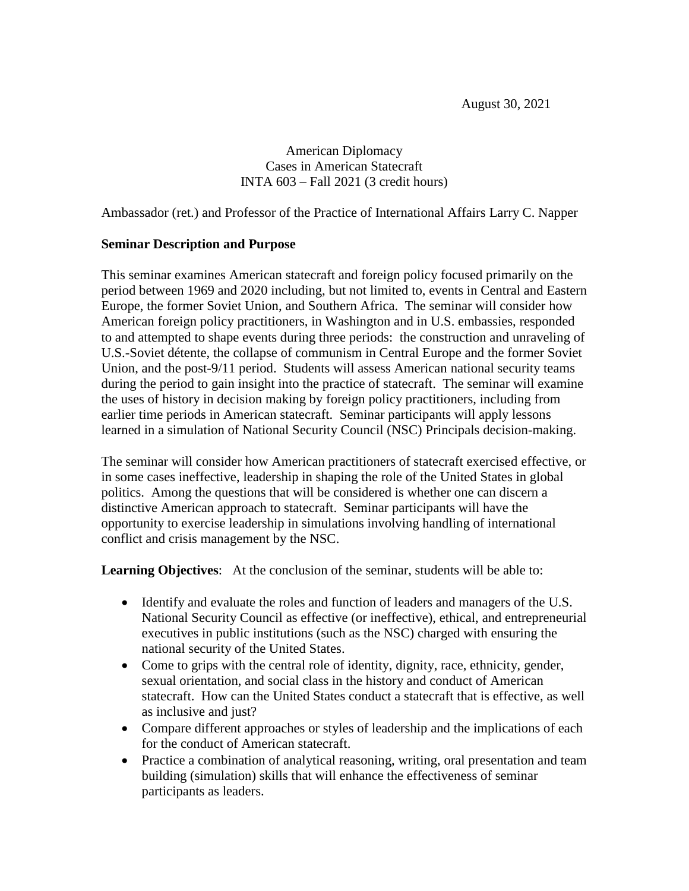August 30, 2021

American Diplomacy Cases in American Statecraft INTA 603 – Fall 2021 (3 credit hours)

Ambassador (ret.) and Professor of the Practice of International Affairs Larry C. Napper

#### **Seminar Description and Purpose**

This seminar examines American statecraft and foreign policy focused primarily on the period between 1969 and 2020 including, but not limited to, events in Central and Eastern Europe, the former Soviet Union, and Southern Africa. The seminar will consider how American foreign policy practitioners, in Washington and in U.S. embassies, responded to and attempted to shape events during three periods: the construction and unraveling of U.S.-Soviet détente, the collapse of communism in Central Europe and the former Soviet Union, and the post-9/11 period. Students will assess American national security teams during the period to gain insight into the practice of statecraft. The seminar will examine the uses of history in decision making by foreign policy practitioners, including from earlier time periods in American statecraft. Seminar participants will apply lessons learned in a simulation of National Security Council (NSC) Principals decision-making.

The seminar will consider how American practitioners of statecraft exercised effective, or in some cases ineffective, leadership in shaping the role of the United States in global politics. Among the questions that will be considered is whether one can discern a distinctive American approach to statecraft. Seminar participants will have the opportunity to exercise leadership in simulations involving handling of international conflict and crisis management by the NSC.

**Learning Objectives**: At the conclusion of the seminar, students will be able to:

- Identify and evaluate the roles and function of leaders and managers of the U.S. National Security Council as effective (or ineffective), ethical, and entrepreneurial executives in public institutions (such as the NSC) charged with ensuring the national security of the United States.
- Come to grips with the central role of identity, dignity, race, ethnicity, gender, sexual orientation, and social class in the history and conduct of American statecraft. How can the United States conduct a statecraft that is effective, as well as inclusive and just?
- Compare different approaches or styles of leadership and the implications of each for the conduct of American statecraft.
- Practice a combination of analytical reasoning, writing, oral presentation and team building (simulation) skills that will enhance the effectiveness of seminar participants as leaders.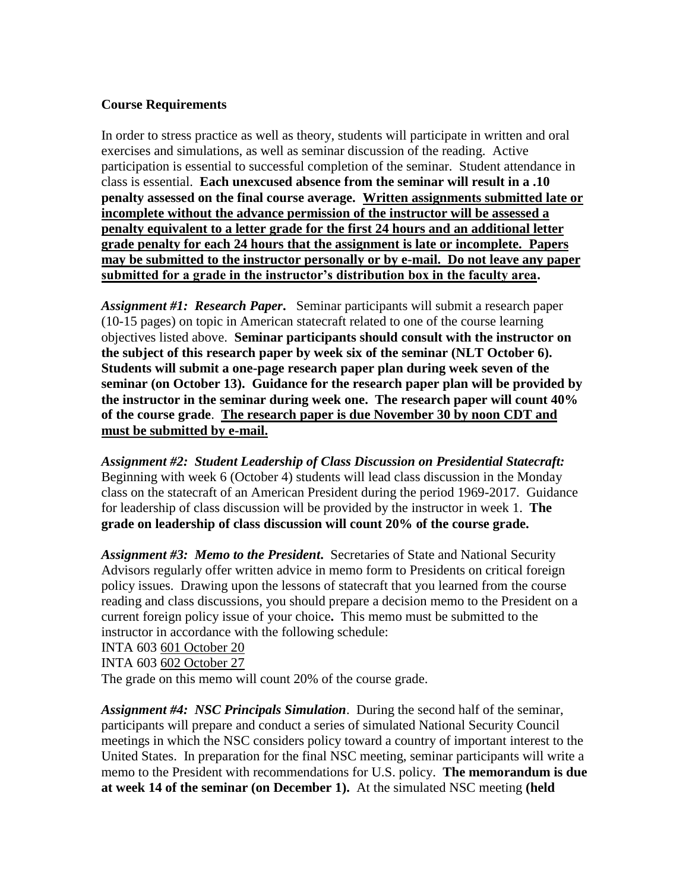#### **Course Requirements**

In order to stress practice as well as theory, students will participate in written and oral exercises and simulations, as well as seminar discussion of the reading. Active participation is essential to successful completion of the seminar. Student attendance in class is essential. **Each unexcused absence from the seminar will result in a .10 penalty assessed on the final course average. Written assignments submitted late or incomplete without the advance permission of the instructor will be assessed a penalty equivalent to a letter grade for the first 24 hours and an additional letter grade penalty for each 24 hours that the assignment is late or incomplete. Papers may be submitted to the instructor personally or by e-mail. Do not leave any paper submitted for a grade in the instructor's distribution box in the faculty area.**

*Assignment #1: Research Paper***.** Seminar participants will submit a research paper (10-15 pages) on topic in American statecraft related to one of the course learning objectives listed above. **Seminar participants should consult with the instructor on the subject of this research paper by week six of the seminar (NLT October 6). Students will submit a one-page research paper plan during week seven of the seminar (on October 13). Guidance for the research paper plan will be provided by the instructor in the seminar during week one. The research paper will count 40% of the course grade**. **The research paper is due November 30 by noon CDT and must be submitted by e-mail.**

*Assignment #2: Student Leadership of Class Discussion on Presidential Statecraft:*  Beginning with week 6 (October 4) students will lead class discussion in the Monday class on the statecraft of an American President during the period 1969-2017. Guidance for leadership of class discussion will be provided by the instructor in week 1. **The grade on leadership of class discussion will count 20% of the course grade.** 

*Assignment #3: Memo to the President***.** Secretaries of State and National Security Advisors regularly offer written advice in memo form to Presidents on critical foreign policy issues. Drawing upon the lessons of statecraft that you learned from the course reading and class discussions, you should prepare a decision memo to the President on a current foreign policy issue of your choice**.** This memo must be submitted to the instructor in accordance with the following schedule:

INTA 603 601 October 20

INTA 603 602 October 27

The grade on this memo will count 20% of the course grade.

*Assignment #4: NSC Principals Simulation*. During the second half of the seminar, participants will prepare and conduct a series of simulated National Security Council meetings in which the NSC considers policy toward a country of important interest to the United States. In preparation for the final NSC meeting, seminar participants will write a memo to the President with recommendations for U.S. policy. **The memorandum is due at week 14 of the seminar (on December 1).** At the simulated NSC meeting **(held**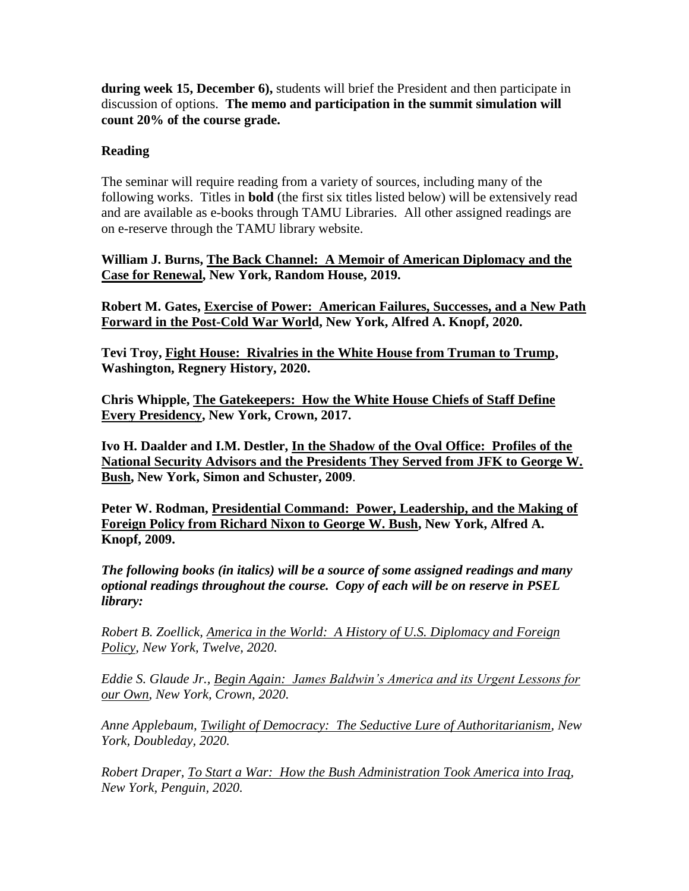**during week 15, December 6),** students will brief the President and then participate in discussion of options. **The memo and participation in the summit simulation will count 20% of the course grade.**

#### **Reading**

The seminar will require reading from a variety of sources, including many of the following works. Titles in **bold** (the first six titles listed below) will be extensively read and are available as e-books through TAMU Libraries. All other assigned readings are on e-reserve through the TAMU library website.

**William J. Burns, The Back Channel: A Memoir of American Diplomacy and the Case for Renewal, New York, Random House, 2019.**

**Robert M. Gates, Exercise of Power: American Failures, Successes, and a New Path Forward in the Post-Cold War World, New York, Alfred A. Knopf, 2020.**

**Tevi Troy, Fight House: Rivalries in the White House from Truman to Trump, Washington, Regnery History, 2020.**

**Chris Whipple, The Gatekeepers: How the White House Chiefs of Staff Define Every Presidency, New York, Crown, 2017.**

**Ivo H. Daalder and I.M. Destler, In the Shadow of the Oval Office: Profiles of the National Security Advisors and the Presidents They Served from JFK to George W. Bush, New York, Simon and Schuster, 2009**.

**Peter W. Rodman, Presidential Command: Power, Leadership, and the Making of Foreign Policy from Richard Nixon to George W. Bush, New York, Alfred A. Knopf, 2009.**

*The following books (in italics) will be a source of some assigned readings and many optional readings throughout the course. Copy of each will be on reserve in PSEL library:*

*Robert B. Zoellick, America in the World: A History of U.S. Diplomacy and Foreign Policy, New York, Twelve, 2020.*

*Eddie S. Glaude Jr., Begin Again: James Baldwin's America and its Urgent Lessons for our Own, New York, Crown, 2020.*

*Anne Applebaum, Twilight of Democracy: The Seductive Lure of Authoritarianism, New York, Doubleday, 2020.*

*Robert Draper, To Start a War: How the Bush Administration Took America into Iraq, New York, Penguin, 2020.*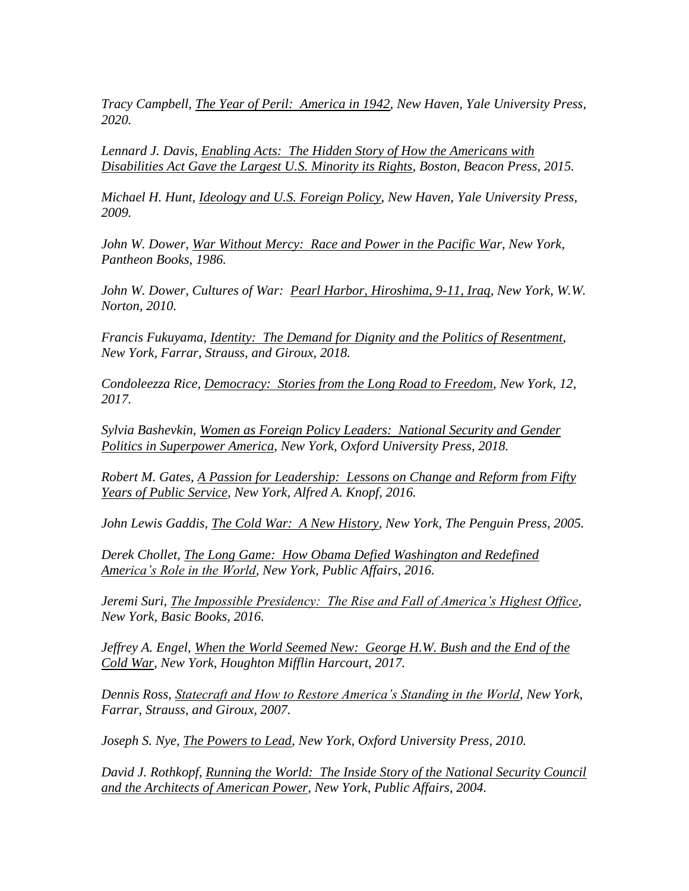*Tracy Campbell, The Year of Peril: America in 1942, New Haven, Yale University Press, 2020.*

*Lennard J. Davis, Enabling Acts: The Hidden Story of How the Americans with Disabilities Act Gave the Largest U.S. Minority its Rights, Boston, Beacon Press, 2015.*

*Michael H. Hunt, Ideology and U.S. Foreign Policy, New Haven, Yale University Press, 2009.*

*John W. Dower, War Without Mercy: Race and Power in the Pacific War, New York, Pantheon Books, 1986.*

*John W. Dower, Cultures of War: Pearl Harbor, Hiroshima, 9-11, Iraq, New York, W.W. Norton, 2010.*

*Francis Fukuyama, Identity: The Demand for Dignity and the Politics of Resentment, New York, Farrar, Strauss, and Giroux, 2018.*

*Condoleezza Rice, Democracy: Stories from the Long Road to Freedom, New York, 12, 2017.*

*Sylvia Bashevkin, Women as Foreign Policy Leaders: National Security and Gender Politics in Superpower America, New York, Oxford University Press, 2018.*

*Robert M. Gates, A Passion for Leadership: Lessons on Change and Reform from Fifty Years of Public Service, New York, Alfred A. Knopf, 2016.*

*John Lewis Gaddis, The Cold War: A New History, New York, The Penguin Press, 2005.*

*Derek Chollet, The Long Game: How Obama Defied Washington and Redefined America's Role in the World, New York, Public Affairs, 2016.*

*Jeremi Suri, The Impossible Presidency: The Rise and Fall of America's Highest Office, New York, Basic Books, 2016.*

*Jeffrey A. Engel, When the World Seemed New: George H.W. Bush and the End of the Cold War, New York, Houghton Mifflin Harcourt, 2017.*

*Dennis Ross, Statecraft and How to Restore America's Standing in the World, New York, Farrar, Strauss, and Giroux, 2007.*

*Joseph S. Nye, The Powers to Lead, New York, Oxford University Press, 2010.*

*David J. Rothkopf, Running the World: The Inside Story of the National Security Council and the Architects of American Power, New York, Public Affairs, 2004.*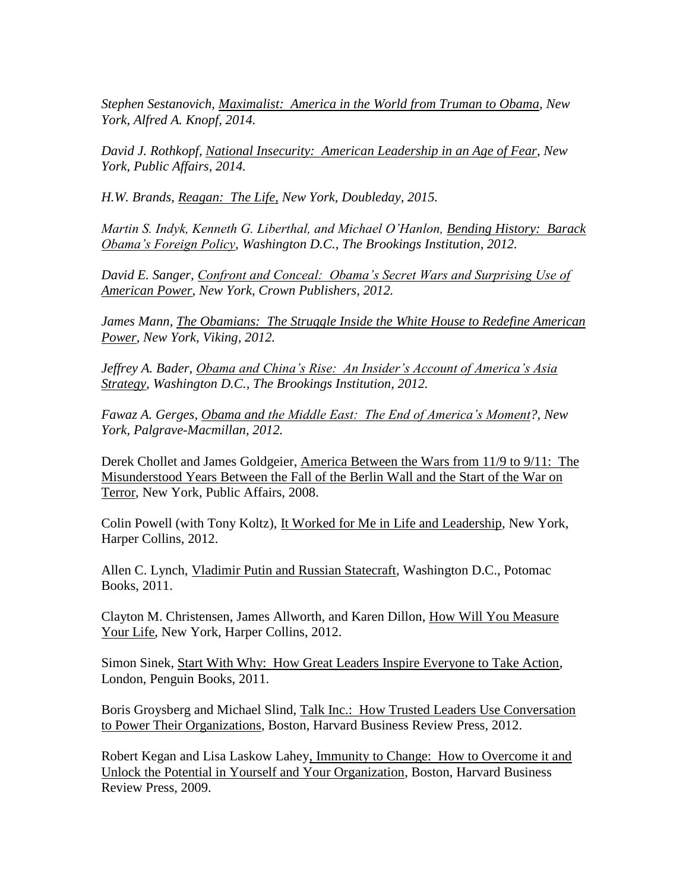*Stephen Sestanovich, Maximalist: America in the World from Truman to Obama, New York, Alfred A. Knopf, 2014.*

*David J. Rothkopf, National Insecurity: American Leadership in an Age of Fear, New York, Public Affairs, 2014.*

*H.W. Brands, Reagan: The Life, New York, Doubleday, 2015.*

*Martin S. Indyk, Kenneth G. Liberthal, and Michael O'Hanlon, Bending History: Barack Obama's Foreign Policy, Washington D.C., The Brookings Institution, 2012.*

*David E. Sanger, Confront and Conceal: Obama's Secret Wars and Surprising Use of American Power, New York, Crown Publishers, 2012.*

*James Mann, The Obamians: The Struggle Inside the White House to Redefine American Power, New York, Viking, 2012.*

*Jeffrey A. Bader, Obama and China's Rise: An Insider's Account of America's Asia Strategy, Washington D.C., The Brookings Institution, 2012.*

*Fawaz A. Gerges, Obama and the Middle East: The End of America's Moment?, New York, Palgrave-Macmillan, 2012.*

Derek Chollet and James Goldgeier, America Between the Wars from 11/9 to 9/11: The Misunderstood Years Between the Fall of the Berlin Wall and the Start of the War on Terror, New York, Public Affairs, 2008.

Colin Powell (with Tony Koltz), It Worked for Me in Life and Leadership, New York, Harper Collins, 2012.

Allen C. Lynch, Vladimir Putin and Russian Statecraft, Washington D.C., Potomac Books, 2011.

Clayton M. Christensen, James Allworth, and Karen Dillon, How Will You Measure Your Life, New York, Harper Collins, 2012.

Simon Sinek, Start With Why: How Great Leaders Inspire Everyone to Take Action, London, Penguin Books, 2011.

Boris Groysberg and Michael Slind, Talk Inc.: How Trusted Leaders Use Conversation to Power Their Organizations, Boston, Harvard Business Review Press, 2012.

Robert Kegan and Lisa Laskow Lahey, Immunity to Change: How to Overcome it and Unlock the Potential in Yourself and Your Organization, Boston, Harvard Business Review Press, 2009.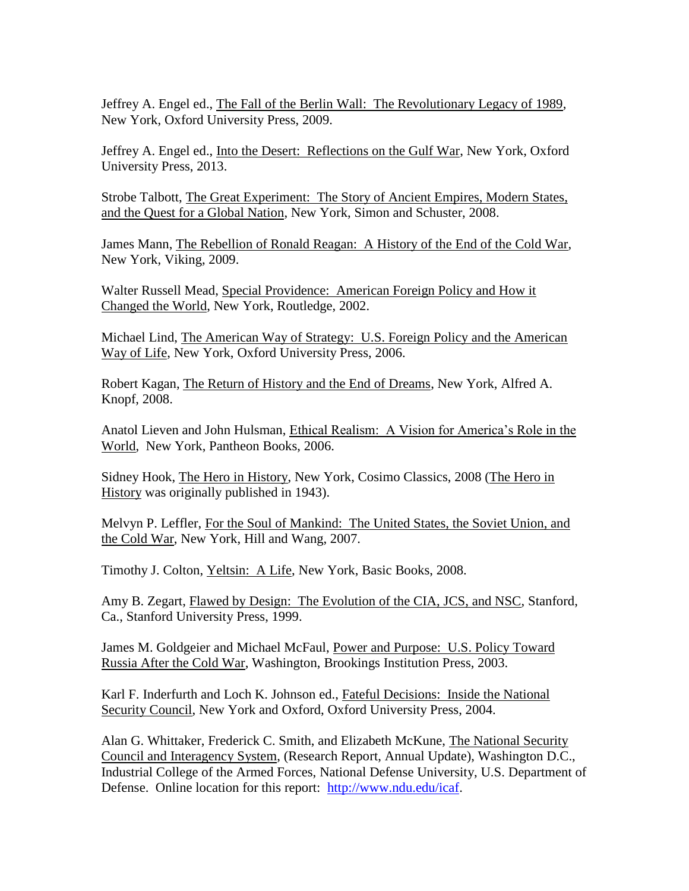Jeffrey A. Engel ed., The Fall of the Berlin Wall: The Revolutionary Legacy of 1989, New York, Oxford University Press, 2009.

Jeffrey A. Engel ed., Into the Desert: Reflections on the Gulf War, New York, Oxford University Press, 2013.

Strobe Talbott, The Great Experiment: The Story of Ancient Empires, Modern States, and the Quest for a Global Nation, New York, Simon and Schuster, 2008.

James Mann, The Rebellion of Ronald Reagan: A History of the End of the Cold War, New York, Viking, 2009.

Walter Russell Mead, Special Providence: American Foreign Policy and How it Changed the World, New York, Routledge, 2002.

Michael Lind, The American Way of Strategy: U.S. Foreign Policy and the American Way of Life, New York, Oxford University Press, 2006.

Robert Kagan, The Return of History and the End of Dreams, New York, Alfred A. Knopf, 2008.

Anatol Lieven and John Hulsman, Ethical Realism: A Vision for America's Role in the World, New York, Pantheon Books, 2006.

Sidney Hook, The Hero in History, New York, Cosimo Classics, 2008 (The Hero in History was originally published in 1943).

Melvyn P. Leffler, For the Soul of Mankind: The United States, the Soviet Union, and the Cold War, New York, Hill and Wang, 2007.

Timothy J. Colton, Yeltsin: A Life, New York, Basic Books, 2008.

Amy B. Zegart, Flawed by Design: The Evolution of the CIA, JCS, and NSC, Stanford, Ca., Stanford University Press, 1999.

James M. Goldgeier and Michael McFaul, Power and Purpose: U.S. Policy Toward Russia After the Cold War, Washington, Brookings Institution Press, 2003.

Karl F. Inderfurth and Loch K. Johnson ed., Fateful Decisions: Inside the National Security Council, New York and Oxford, Oxford University Press, 2004.

Alan G. Whittaker, Frederick C. Smith, and Elizabeth McKune, The National Security Council and Interagency System, (Research Report, Annual Update), Washington D.C., Industrial College of the Armed Forces, National Defense University, U.S. Department of Defense. Online location for this report: [http://www.ndu.edu/icaf.](http://www.ndu.edu/icaf)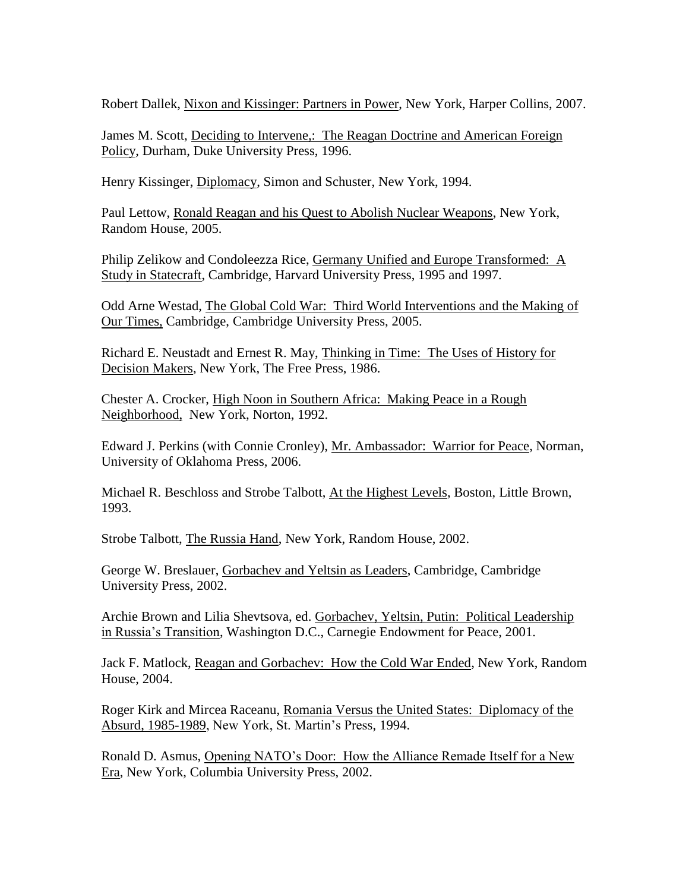Robert Dallek, Nixon and Kissinger: Partners in Power, New York, Harper Collins, 2007.

James M. Scott, Deciding to Intervene,: The Reagan Doctrine and American Foreign Policy, Durham, Duke University Press, 1996.

Henry Kissinger, Diplomacy, Simon and Schuster, New York, 1994.

Paul Lettow, Ronald Reagan and his Quest to Abolish Nuclear Weapons, New York, Random House, 2005.

Philip Zelikow and Condoleezza Rice, Germany Unified and Europe Transformed: A Study in Statecraft, Cambridge, Harvard University Press, 1995 and 1997.

Odd Arne Westad, The Global Cold War: Third World Interventions and the Making of Our Times, Cambridge, Cambridge University Press, 2005.

Richard E. Neustadt and Ernest R. May, Thinking in Time: The Uses of History for Decision Makers, New York, The Free Press, 1986.

Chester A. Crocker, High Noon in Southern Africa: Making Peace in a Rough Neighborhood, New York, Norton, 1992.

Edward J. Perkins (with Connie Cronley), Mr. Ambassador: Warrior for Peace, Norman, University of Oklahoma Press, 2006.

Michael R. Beschloss and Strobe Talbott, At the Highest Levels, Boston, Little Brown, 1993.

Strobe Talbott, The Russia Hand, New York, Random House, 2002.

George W. Breslauer, Gorbachev and Yeltsin as Leaders, Cambridge, Cambridge University Press, 2002.

Archie Brown and Lilia Shevtsova, ed. Gorbachev, Yeltsin, Putin: Political Leadership in Russia's Transition, Washington D.C., Carnegie Endowment for Peace, 2001.

Jack F. Matlock, Reagan and Gorbachev: How the Cold War Ended, New York, Random House, 2004.

Roger Kirk and Mircea Raceanu, Romania Versus the United States: Diplomacy of the Absurd, 1985-1989, New York, St. Martin's Press, 1994.

Ronald D. Asmus, Opening NATO's Door: How the Alliance Remade Itself for a New Era, New York, Columbia University Press, 2002.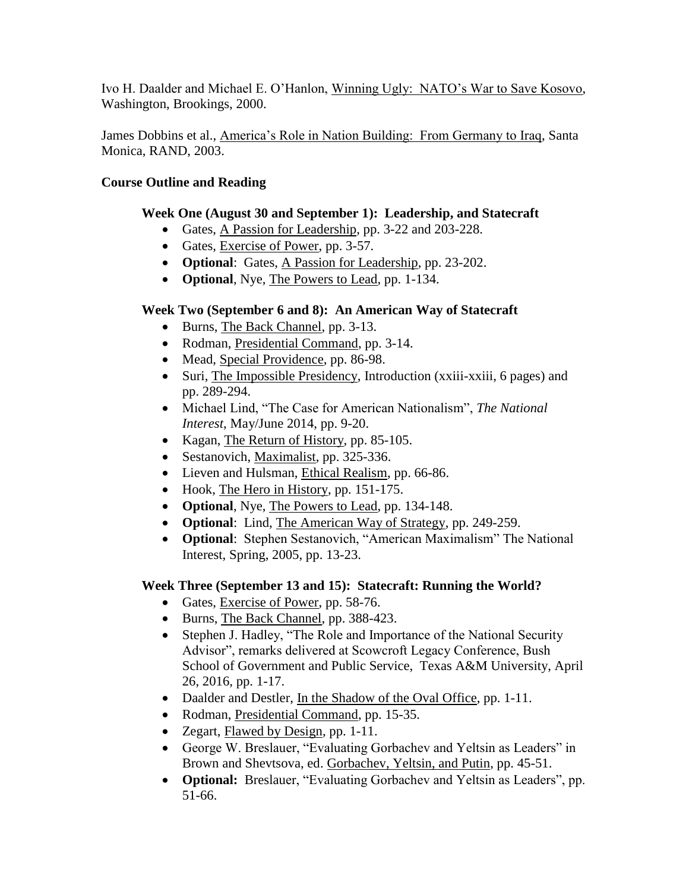Ivo H. Daalder and Michael E. O'Hanlon, Winning Ugly: NATO's War to Save Kosovo, Washington, Brookings, 2000.

James Dobbins et al., America's Role in Nation Building: From Germany to Iraq, Santa Monica, RAND, 2003.

#### **Course Outline and Reading**

#### **Week One (August 30 and September 1): Leadership, and Statecraft**

- Gates, A Passion for Leadership, pp. 3-22 and 203-228.
- Gates, Exercise of Power, pp. 3-57.
- **Optional**: Gates, A Passion for Leadership, pp. 23-202.
- **Optional**, Nye, The Powers to Lead, pp. 1-134.

# **Week Two (September 6 and 8): An American Way of Statecraft**

- Burns, The Back Channel, pp. 3-13.
- Rodman, Presidential Command, pp. 3-14.
- Mead, Special Providence, pp. 86-98.
- Suri, The Impossible Presidency, Introduction (xxiii-xxiii, 6 pages) and pp. 289-294.
- Michael Lind, "The Case for American Nationalism", *The National Interest*, May/June 2014, pp. 9-20.
- Kagan, The Return of History, pp. 85-105.
- Sestanovich, Maximalist, pp. 325-336.
- Lieven and Hulsman, Ethical Realism, pp. 66-86.
- Hook, The Hero in History, pp. 151-175.
- **Optional**, Nye, The Powers to Lead, pp. 134-148.
- **Optional**: Lind, The American Way of Strategy, pp. 249-259.
- **Optional**: Stephen Sestanovich, "American Maximalism" The National Interest, Spring, 2005, pp. 13-23.

# **Week Three (September 13 and 15): Statecraft: Running the World?**

- Gates, Exercise of Power, pp. 58-76.
- Burns, The Back Channel, pp. 388-423.
- Stephen J. Hadley, "The Role and Importance of the National Security Advisor", remarks delivered at Scowcroft Legacy Conference, Bush School of Government and Public Service, Texas A&M University, April 26, 2016, pp. 1-17.
- Daalder and Destler, In the Shadow of the Oval Office, pp. 1-11.
- Rodman, Presidential Command, pp. 15-35.
- Zegart, Flawed by Design, pp. 1-11.
- George W. Breslauer, "Evaluating Gorbachev and Yeltsin as Leaders" in Brown and Shevtsova, ed. Gorbachev, Yeltsin, and Putin, pp. 45-51.
- **Optional:** Breslauer, "Evaluating Gorbachev and Yeltsin as Leaders", pp. 51-66.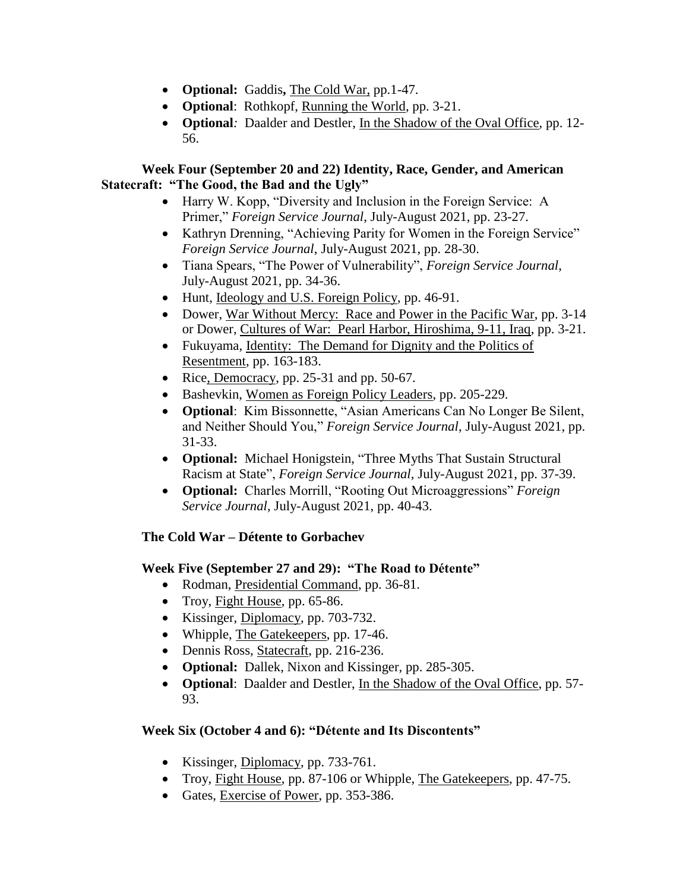- **Optional:** Gaddis, The Cold War, pp.1-47.
- **Optional**: Rothkopf, Running the World, pp. 3-21.
- **Optional***:* Daalder and Destler, In the Shadow of the Oval Office, pp. 12- 56.

#### **Week Four (September 20 and 22) Identity, Race, Gender, and American Statecraft: "The Good, the Bad and the Ugly"**

- Harry W. Kopp, "Diversity and Inclusion in the Foreign Service: A Primer," *Foreign Service Journal*, July-August 2021, pp. 23-27.
- Kathryn Drenning, "Achieving Parity for Women in the Foreign Service" *Foreign Service Journal*, July-August 2021, pp. 28-30.
- Tiana Spears, "The Power of Vulnerability", *Foreign Service Journal*, July-August 2021, pp. 34-36.
- Hunt, Ideology and U.S. Foreign Policy, pp. 46-91.
- Dower, War Without Mercy: Race and Power in the Pacific War, pp. 3-14 or Dower, Cultures of War: Pearl Harbor, Hiroshima, 9-11, Iraq, pp. 3-21.
- Fukuyama, Identity: The Demand for Dignity and the Politics of Resentment, pp. 163-183.
- Rice, Democracy, pp.  $25-31$  and pp.  $50-67$ .
- Bashevkin, Women as Foreign Policy Leaders, pp. 205-229.
- **Optional**: Kim Bissonnette, "Asian Americans Can No Longer Be Silent, and Neither Should You," *Foreign Service Journal*, July-August 2021, pp. 31-33.
- **Optional:** Michael Honigstein, "Three Myths That Sustain Structural Racism at State", *Foreign Service Journal*, July-August 2021, pp. 37-39.
- **Optional:** Charles Morrill, "Rooting Out Microaggressions" *Foreign Service Journal*, July-August 2021, pp. 40-43.

# **The Cold War – Détente to Gorbachev**

# **Week Five (September 27 and 29): "The Road to Détente"**

- Rodman, Presidential Command, pp. 36-81.
- Troy, Fight House, pp. 65-86.
- Kissinger, Diplomacy, pp. 703-732.
- Whipple, The Gatekeepers, pp. 17-46.
- Dennis Ross, Statecraft, pp. 216-236.
- **Optional:** Dallek, Nixon and Kissinger, pp. 285-305.
- **Optional**: Daalder and Destler, In the Shadow of the Oval Office, pp. 57- 93.

# **Week Six (October 4 and 6): "Détente and Its Discontents"**

- Kissinger, Diplomacy, pp. 733-761.
- Troy, Fight House, pp. 87-106 or Whipple, The Gatekeepers, pp. 47-75.
- Gates, Exercise of Power, pp. 353-386.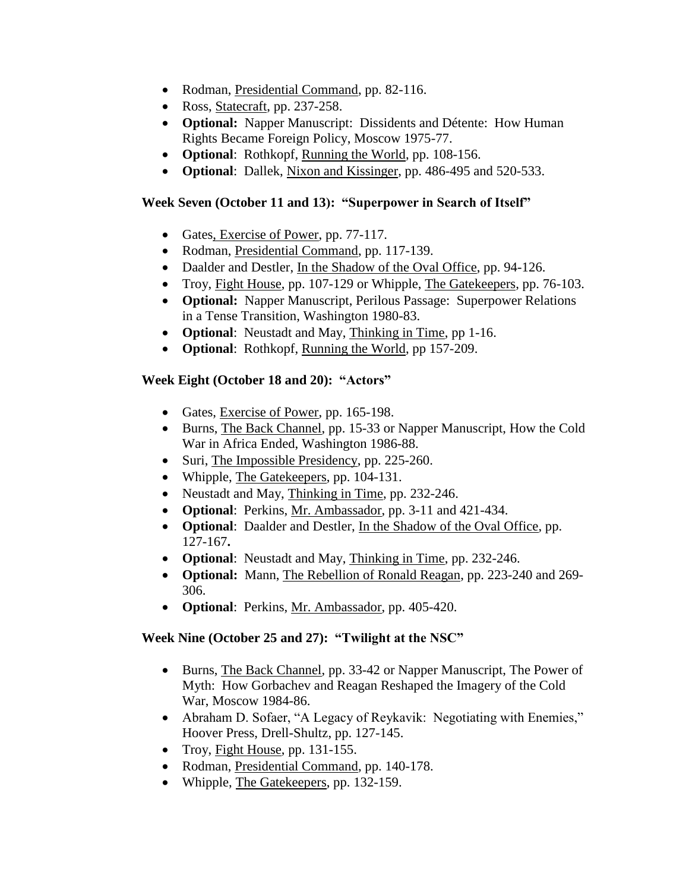- Rodman, Presidential Command, pp. 82-116.
- Ross, Statecraft, pp. 237-258.
- **Optional:** Napper Manuscript: Dissidents and Détente: How Human Rights Became Foreign Policy, Moscow 1975-77.
- **Optional**: Rothkopf, Running the World, pp. 108-156.
- **Optional**: Dallek, Nixon and Kissinger, pp. 486-495 and 520-533.

#### **Week Seven (October 11 and 13): "Superpower in Search of Itself"**

- Gates, Exercise of Power, pp. 77-117.
- Rodman, Presidential Command, pp. 117-139.
- Daalder and Destler, In the Shadow of the Oval Office, pp. 94-126.
- Troy, Fight House, pp. 107-129 or Whipple, The Gatekeepers, pp. 76-103.
- **Optional:** Napper Manuscript, Perilous Passage: Superpower Relations in a Tense Transition, Washington 1980-83.
- **Optional**: Neustadt and May, Thinking in Time, pp 1-16.
- **Optional**: Rothkopf, Running the World, pp 157-209.

# **Week Eight (October 18 and 20): "Actors"**

- Gates, Exercise of Power, pp. 165-198.
- Burns, The Back Channel, pp. 15-33 or Napper Manuscript, How the Cold War in Africa Ended, Washington 1986-88.
- Suri, The Impossible Presidency, pp. 225-260.
- Whipple, The Gatekeepers, pp. 104-131.
- Neustadt and May, Thinking in Time, pp. 232-246.
- **Optional**: Perkins, Mr. Ambassador, pp. 3-11 and 421-434.
- **Optional**: Daalder and Destler, In the Shadow of the Oval Office, pp. 127-167**.**
- **Optional**: Neustadt and May, Thinking in Time, pp. 232-246.
- **Optional:** Mann, The Rebellion of Ronald Reagan, pp. 223-240 and 269- 306.
- **Optional**: Perkins, Mr. Ambassador, pp. 405-420.

# **Week Nine (October 25 and 27): "Twilight at the NSC"**

- Burns, The Back Channel, pp. 33-42 or Napper Manuscript, The Power of Myth: How Gorbachev and Reagan Reshaped the Imagery of the Cold War, Moscow 1984-86.
- Abraham D. Sofaer, "A Legacy of Reykavik: Negotiating with Enemies," Hoover Press, Drell-Shultz, pp. 127-145.
- Troy, Fight House, pp. 131-155.
- Rodman, Presidential Command, pp. 140-178.
- Whipple, The Gatekeepers, pp. 132-159.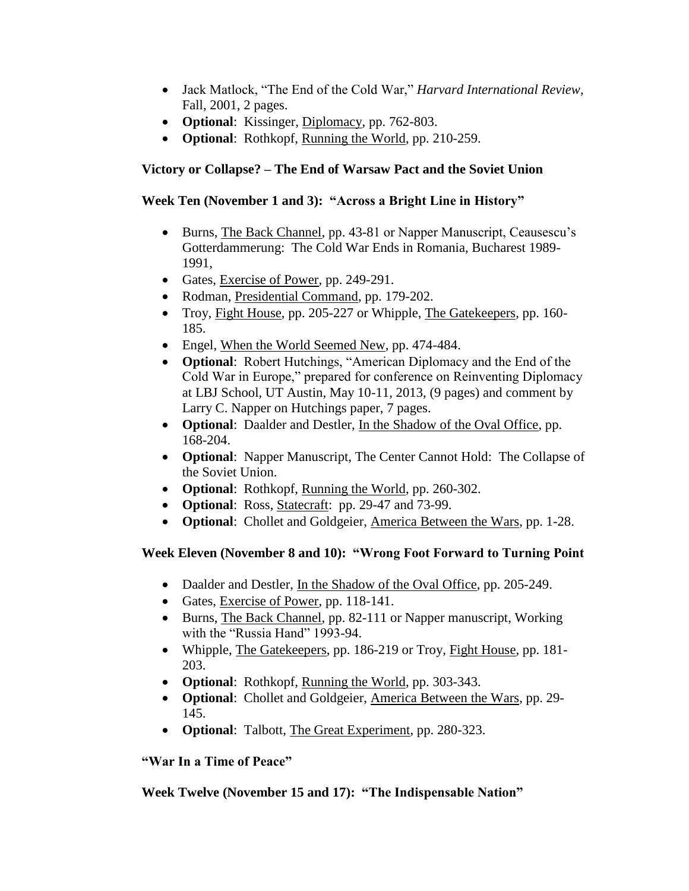- Jack Matlock, "The End of the Cold War," *Harvard International Review*, Fall, 2001, 2 pages.
- **Optional**: Kissinger, Diplomacy, pp. 762-803.
- **Optional**: Rothkopf, Running the World, pp. 210-259.

#### **Victory or Collapse? – The End of Warsaw Pact and the Soviet Union**

#### **Week Ten (November 1 and 3): "Across a Bright Line in History"**

- Burns, The Back Channel, pp. 43-81 or Napper Manuscript, Ceausescu's Gotterdammerung: The Cold War Ends in Romania, Bucharest 1989- 1991,
- Gates, Exercise of Power, pp. 249-291.
- Rodman, Presidential Command, pp. 179-202.
- Troy, Fight House, pp. 205-227 or Whipple, The Gatekeepers, pp. 160-185.
- Engel, When the World Seemed New, pp. 474-484.
- **Optional**: Robert Hutchings, "American Diplomacy and the End of the Cold War in Europe," prepared for conference on Reinventing Diplomacy at LBJ School, UT Austin, May 10-11, 2013, (9 pages) and comment by Larry C. Napper on Hutchings paper, 7 pages.
- **Optional**: Daalder and Destler, In the Shadow of the Oval Office, pp. 168-204.
- **Optional**: Napper Manuscript, The Center Cannot Hold: The Collapse of the Soviet Union.
- **Optional**: Rothkopf, Running the World, pp. 260-302.
- **Optional**: Ross, **Statecraft:** pp. 29-47 and 73-99.
- **Optional**: Chollet and Goldgeier, America Between the Wars, pp. 1-28.

# **Week Eleven (November 8 and 10): "Wrong Foot Forward to Turning Point**

- Daalder and Destler, In the Shadow of the Oval Office, pp. 205-249.
- Gates, Exercise of Power, pp. 118-141.
- Burns, The Back Channel, pp. 82-111 or Napper manuscript, Working with the "Russia Hand" 1993-94.
- Whipple, The Gatekeepers, pp. 186-219 or Troy, Fight House, pp. 181- 203.
- **Optional**: Rothkopf, Running the World, pp. 303-343.
- **Optional**: Chollet and Goldgeier, America Between the Wars, pp. 29- 145.
- **Optional**: Talbott, The Great Experiment, pp. 280-323.

#### **"War In a Time of Peace"**

# **Week Twelve (November 15 and 17): "The Indispensable Nation"**